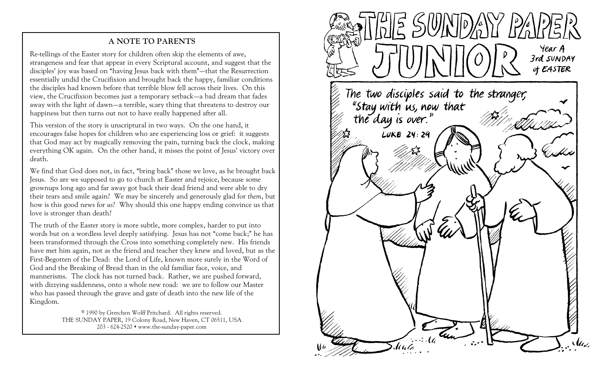## **A NOTE TO PARENTS**

Re-tellings of the Easter story for children often skip the elements of awe, strangeness and fear that appear in every Scriptural account, and suggest that the disciples' joy was based on "having Jesus back with them"—that the Resurrection essentially undid the Crucifixion and brought back the happy, familiar conditions the disciples had known before that terrible blow fell across their lives. On this view, the Crucifixion becomes just a temporary setback—a bad dream that fades away with the light of dawn—a terrible, scary thing that threatens to destroy our happiness but then turns out not to have really happened after all.

This version of the story is unscriptural in two ways. On the one hand, it encourages false hopes for children who are experiencing loss or grief: it suggests that God may act by magically removing the pain, turning back the clock, making everything OK again. On the other hand, it misses the point of Jesus' victory over death.

We find that God does not, in fact, "bring back" those we love, as he brought back Jesus. So are we supposed to go to church at Easter and rejoice, because some grownups long ago and far away got back their dead friend and were able to dry their tears and smile again? We may be sincerely and generously glad for *them*, but how is this good news for *us*? Why should this one happy ending convince us that love is stronger than death?

The truth of the Easter story is more subtle, more complex, harder to put into words but on a wordless level deeply satisfying. Jesus has not "come back;" he has been transformed through the Cross into something completely new. His friends have met him again, not as the friend and teacher they knew and loved, but as the First-Begotten of the Dead: the Lord of Life, known more surely in the Word of God and the Breaking of Bread than in the old familiar face, voice, and mannerisms. The clock has not turned back. Rather, we are pushed forward, with dizzying suddenness, onto a whole new road: we are to follow our Master who has passed through the grave and gate of death into the new life of the Kingdom.

> © 1990 by Gretchen Wolff Pritchard. All rights reserved. THE SUNDAY PAPER, 19 Colony Road, New Haven, CT 06511, USA 203 - 624-2520 www.the-sunday-paper.com